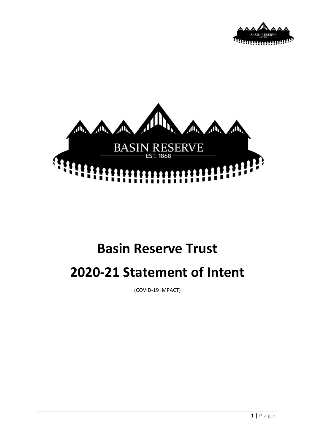



# **Basin Reserve Trust 2020-21 Statement of Intent**

(COVID-19 IMPACT)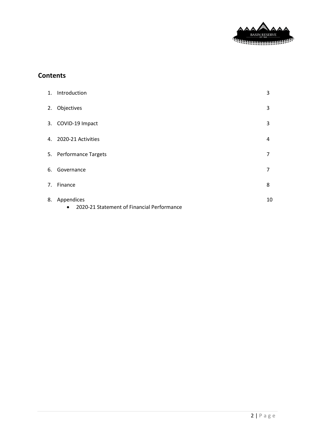

# **Contents**

| 1. Introduction                                                          | 3              |
|--------------------------------------------------------------------------|----------------|
| 2. Objectives                                                            | 3              |
| 3. COVID-19 Impact                                                       | 3              |
| 4. 2020-21 Activities                                                    | 4              |
| 5. Performance Targets                                                   | $\overline{7}$ |
| 6. Governance                                                            | $\overline{7}$ |
| 7. Finance                                                               | 8              |
| 8. Appendices<br>2020-21 Statement of Financial Performance<br>$\bullet$ | 10             |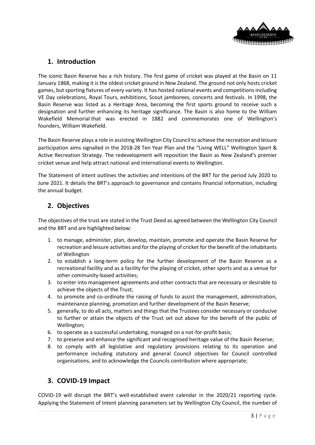

# **1. Introduction**

The iconic Basin Reserve has a rich history. The first game of cricket was played at the Basin on 11 January 1868, making it is the oldest cricket ground in New Zealand. The ground not only hosts cricket games, but sporting fixtures of every variety. It has hosted national events and competitions including VE Day celebrations, Royal Tours, exhibitions, Scout jamborees, concerts and festivals. In 1998, the Basin Reserve was listed as a Heritage Area, becoming the first sports ground to receive such a designation and further enhancing its heritage significance. The Basin is also home to the [William](https://en.wikipedia.org/wiki/William_Wakefield_Memorial)  [Wakefield Memorial](https://en.wikipedia.org/wiki/William_Wakefield_Memorial) that was erected in 1882 and commemorates one of Wellington's founders, [William Wakefield.](https://en.wikipedia.org/wiki/William_Wakefield)

The Basin Reserve plays a role in assisting Wellington City Council to achieve the recreation and leisure participation aims signalled in the 2018-28 Ten Year Plan and the "Living WELL" Wellington Sport & Active Recreation Strategy. The redevelopment will reposition the Basin as New Zealand's premier cricket venue and help attract national and international events to Wellington.

The Statement of Intent outlines the activities and intentions of the BRT for the period July 2020 to June 2021. It details the BRT's approach to governance and contains financial information, including the annual budget.

# **2. Objectives**

The objectives of the trust are stated in the Trust Deed as agreed between the Wellington City Council and the BRT and are highlighted below:

- 1. to manage, administer, plan, develop, maintain, promote and operate the Basin Reserve for recreation and leisure activities and for the playing of cricket for the benefit of the inhabitants of Wellington
- 2. to establish a long-term policy for the further development of the Basin Reserve as a recreational facility and as a facility for the playing of cricket, other sports and as a venue for other community-based activities;
- 3. to enter into management agreements and other contracts that are necessary or desirable to achieve the objects of the Trust;
- 4. to promote and co-ordinate the raising of funds to assist the management, administration, maintenance planning, promotion and further development of the Basin Reserve;
- 5. generally, to do all acts, matters and things that the Trustees consider necessary or conducive to further or attain the objects of the Trust set out above for the benefit of the public of Wellington;
- 6. to operate as a successful undertaking, managed on a not-for-profit basis;
- 7. to preserve and enhance the significant and recognised heritage value of the Basin Reserve;
- 8. to comply with all legislative and regulatory provisions relating to its operation and performance including statutory and general Council objectives for Council controlled organisations, and to acknowledge the Councils contribution where appropriate;

## **3. COVID-19 Impact**

COVID-19 will disrupt the BRT's well-established event calendar in the 2020/21 reporting cycle. Applying the Statement of Intent planning parameters set by Wellington City Council, the number of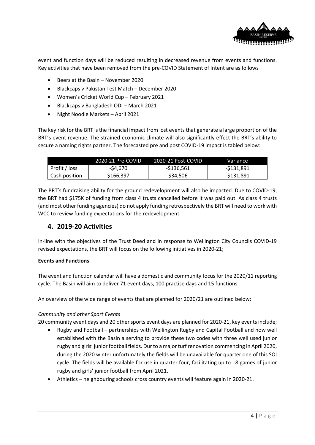

event and function days will be reduced resulting in decreased revenue from events and functions. Key activities that have been removed from the pre-COVID Statement of Intent are as follows

- Beers at the Basin November 2020
- Blackcaps v Pakistan Test Match December 2020
- Women's Cricket World Cup February 2021
- Blackcaps v Bangladesh ODI March 2021
- Night Noodle Markets April 2021

The key risk for the BRT is the financial impact from lost events that generate a large proportion of the BRT's event revenue. The strained economic climate will also significantly effect the BRT's ability to secure a naming rights partner. The forecasted pre and post COVID-19 impact is tabled below:

|               | 2020-21 Pre-COVID | 2020-21 Post-COVID | Variance   |
|---------------|-------------------|--------------------|------------|
| Profit / loss | -\$4.670          | -\$136.561         | -\$131.891 |
| Cash position | \$166,397         | \$34,506           | -\$131.891 |

The BRT's fundraising ability for the ground redevelopment will also be impacted. Due to COVID-19, the BRT had \$175K of funding from class 4 trusts cancelled before it was paid out. As class 4 trusts (and most other funding agencies) do not apply funding retrospectively the BRT will need to work with WCC to review funding expectations for the redevelopment.

## **4. 2019-20 Activities**

In-line with the objectives of the Trust Deed and in response to Wellington City Councils COVID-19 revised expectations, the BRT will focus on the following initiatives in 2020-21;

## **Events and Functions**

The event and function calendar will have a domestic and community focus for the 2020/11 reporting cycle. The Basin will aim to deliver 71 event days, 100 practise days and 15 functions.

An overview of the wide range of events that are planned for 2020/21 are outlined below:

## *Community and other Sport Events*

20 community event days and 20 other sports event days are planned for 2020-21, key events include;

- Rugby and Football partnerships with Wellington Rugby and Capital Football and now well established with the Basin a serving to provide these two codes with three well used junior rugby and girls' junior football fields. Dur to a major turf renovation commencing in April 2020, during the 2020 winter unfortunately the fields will be unavailable for quarter one of this SOI cycle. The fields will be available for use in quarter four, facilitating up to 18 games of junior rugby and girls' junior football from April 2021.
- Athletics neighbouring schools cross country events will feature again in 2020-21.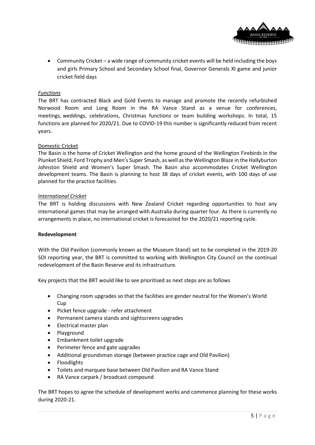

• Community Cricket – a wide range of community cricket events will be held including the boys and girls Primary School and Secondary School final, Governor Generals XI game and junior cricket field days

#### *Functions*

The BRT has contracted Black and Gold Events to manage and promote the recently refurbished Norwood Room and Long Room in the RA Vance Stand as a venue for conferences, meetings, weddings, celebrations, Christmas functions or team building workshops. In total, 15 functions are planned for 2020/21. Due to COVID-19 this number is significantly reduced from recent years.

#### Domestic Cricket

The Basin is the home of Cricket Wellington and the home ground of the Wellington Firebirds in the Plunket Shield, Ford Trophy and Men's Super Smash, as well as the Wellington Blaze in the Hallyburton Johnston Shield and Women's Super Smash. The Basin also accommodates Cricket Wellington development teams. The Basin is planning to host 38 days of cricket events, with 100 days of use planned for the practice facilities.

#### *International Cricket*

The BRT is holding discussions with New Zealand Cricket regarding opportunities to host any international games that may be arranged with Australia during quarter four. As there is currently no arrangements in place, no international cricket is forecasted for the 2020/21 reporting cycle.

#### **Redevelopment**

With the Old Pavilion (commonly known as the Museum Stand) set to be completed in the 2019-20 SOI reporting year, the BRT is committed to working with Wellington City Council on the continual redevelopment of the Basin Reserve and its infrastructure.

Key projects that the BRT would like to see prioritised as next steps are as follows

- Changing room upgrades so that the facilities are gender neutral for the Women's World Cup
- Picket fence upgrade refer attachment
- Permanent camera stands and sightscreens upgrades
- Electrical master plan
- Playground
- Embankment toilet upgrade
- Perimeter fence and gate upgrades
- Additional groundsman storage (between practice cage and Old Pavilion)
- Floodlights
- Toilets and marquee base between Old Pavilion and RA Vance Stand
- RA Vance carpark / broadcast compound

The BRT hopes to agree the schedule of development works and commence planning for these works during 2020-21.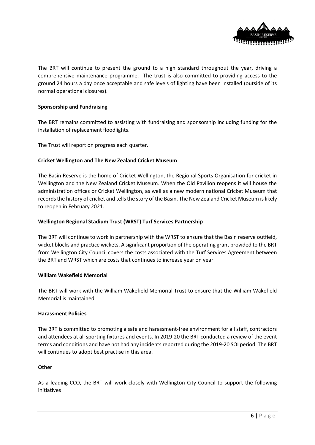

The BRT will continue to present the ground to a high standard throughout the year, driving a comprehensive maintenance programme. The trust is also committed to providing access to the ground 24 hours a day once acceptable and safe levels of lighting have been installed (outside of its normal operational closures).

#### **Sponsorship and Fundraising**

The BRT remains committed to assisting with fundraising and sponsorship including funding for the installation of replacement floodlights.

The Trust will report on progress each quarter.

#### **Cricket Wellington and The New Zealand Cricket Museum**

The Basin Reserve is the home of Cricket Wellington, the Regional Sports Organisation for cricket in Wellington and the New Zealand Cricket Museum. When the Old Pavilion reopens it will house the administration offices or Cricket Wellington, as well as a new modern national Cricket Museum that records the history of cricket and tells the story of the Basin. The New Zealand Cricket Museum is likely to reopen in February 2021.

### **Wellington Regional Stadium Trust (WRST) Turf Services Partnership**

The BRT will continue to work in partnership with the WRST to ensure that the Basin reserve outfield, wicket blocks and practice wickets. A significant proportion of the operating grant provided to the BRT from Wellington City Council covers the costs associated with the Turf Services Agreement between the BRT and WRST which are costs that continues to increase year on year.

#### **[William Wakefield Memorial](https://en.wikipedia.org/wiki/William_Wakefield_Memorial)**

The BRT will work with the William Wakefield Memorial Trust to ensure that the William Wakefield Memorial is maintained.

#### **Harassment Policies**

The BRT is committed to promoting a safe and harassment-free environment for all staff, contractors and attendees at all sporting fixtures and events. In 2019-20 the BRT conducted a review of the event terms and conditions and have not had any incidents reported during the 2019-20 SOI period. The BRT will continues to adopt best practise in this area.

#### **Other**

As a leading CCO, the BRT will work closely with Wellington City Council to support the following initiatives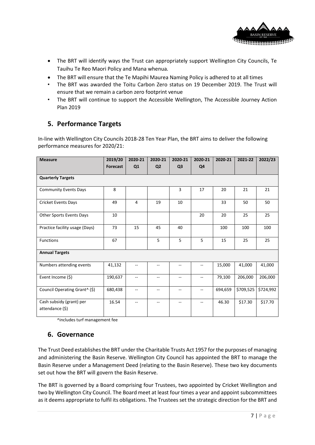

- The BRT will identify ways the Trust can appropriately support Wellington City Councils, Te Tauihu Te Reo Maori Policy and Mana whenua*.*
- The BRT will ensure that the Te Mapihi Maurea Naming Policy is adhered to at all times
- The BRT was awarded the Toitu Carbon Zero status on 19 December 2019. The Trust will ensure that we remain a carbon zero footprint venue
- The BRT will continue to support the Accessible Wellington, The Accessible Journey Action Plan 2019

# **5. Performance Targets**

In-line with Wellington City Councils 2018-28 Ten Year Plan, the BRT aims to deliver the following performance measures for 2020/21:

| <b>Measure</b>                              | 2019/20         | 2020-21        | 2020-21                  | 2020-21                  | 2020-21       | 2020-21 | 2021-22   | 2022/23   |
|---------------------------------------------|-----------------|----------------|--------------------------|--------------------------|---------------|---------|-----------|-----------|
|                                             | <b>Forecast</b> | Q1             | Q <sub>2</sub>           | Q <sub>3</sub>           | Q4            |         |           |           |
| <b>Quarterly Targets</b>                    |                 |                |                          |                          |               |         |           |           |
| <b>Community Events Days</b>                | 8               |                |                          | 3                        | 17            | 20      | 21        | 21        |
| Cricket Events Days                         | 49              | $\overline{4}$ | 19                       | 10                       |               | 33      | 50        | 50        |
| Other Sports Events Days                    | 10              |                |                          |                          | 20            | 20      | 25        | 25        |
| Practice facility usage (Days)              | 73              | 15             | 45                       | 40                       |               | 100     | 100       | 100       |
| <b>Functions</b>                            | 67              |                | 5                        | 5                        | 5             | 15      | 25        | 25        |
| <b>Annual Targets</b>                       |                 |                |                          |                          |               |         |           |           |
| Numbers attending events                    | 41,132          |                | $- -$                    | --                       | --            | 15,000  | 41,000    | 41,000    |
| Event Income (\$)                           | 190,637         | --             | $\overline{\phantom{a}}$ | --                       | --            | 79,100  | 206,000   | 206,000   |
| Council Operating Grant^ (\$)               | 680,438         | $\sim$ –       | $\overline{\phantom{a}}$ | $\overline{\phantom{a}}$ | $-$           | 694,659 | \$709,525 | \$724,992 |
| Cash subsidy (grant) per<br>attendance (\$) | 16.54           | $\sim$ –       | $\overline{\phantom{a}}$ | $\overline{\phantom{a}}$ | $\frac{1}{2}$ | 46.30   | \$17.30   | \$17.70   |

^includes turf management fee

## **6. Governance**

The Trust Deed establishes the BRT under the Charitable Trusts Act 1957 for the purposes of managing and administering the Basin Reserve. Wellington City Council has appointed the BRT to manage the Basin Reserve under a Management Deed (relating to the Basin Reserve). These two key documents set out how the BRT will govern the Basin Reserve.

The BRT is governed by a Board comprising four Trustees, two appointed by Cricket Wellington and two by Wellington City Council. The Board meet at least four times a year and appoint subcommittees as it deems appropriate to fulfil its obligations. The Trustees set the strategic direction for the BRT and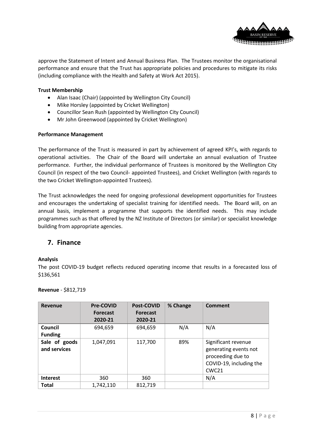

approve the Statement of Intent and Annual Business Plan. The Trustees monitor the organisational performance and ensure that the Trust has appropriate policies and procedures to mitigate its risks (including compliance with the Health and Safety at Work Act 2015).

#### **Trust Membership**

- Alan Isaac (Chair) (appointed by Wellington City Council)
- Mike Horsley (appointed by Cricket Wellington)
- Councillor Sean Rush (appointed by Wellington City Council)
- Mr John Greenwood (appointed by Cricket Wellington)

#### **Performance Management**

The performance of the Trust is measured in part by achievement of agreed KPI's, with regards to operational activities. The Chair of the Board will undertake an annual evaluation of Trustee performance. Further, the individual performance of Trustees is monitored by the Wellington City Council (in respect of the two Council- appointed Trustees), and Cricket Wellington (with regards to the two Cricket Wellington-appointed Trustees).

The Trust acknowledges the need for ongoing professional development opportunities for Trustees and encourages the undertaking of specialist training for identified needs. The Board will, on an annual basis, implement a programme that supports the identified needs. This may include programmes such as that offered by the NZ Institute of Directors (or similar) or specialist knowledge building from appropriate agencies.

## **7. Finance**

#### **Analysis**

The post COVID-19 budget reflects reduced operating income that results in a forecasted loss of \$136,561

| <b>Revenue</b>                | <b>Pre-COVID</b><br><b>Forecast</b><br>2020-21 | <b>Post-COVID</b><br><b>Forecast</b><br>2020-21 | % Change | Comment                                                                                                           |
|-------------------------------|------------------------------------------------|-------------------------------------------------|----------|-------------------------------------------------------------------------------------------------------------------|
| Council<br><b>Funding</b>     | 694,659                                        | 694,659                                         | N/A      | N/A                                                                                                               |
| Sale of goods<br>and services | 1,047,091                                      | 117,700                                         | 89%      | Significant revenue<br>generating events not<br>proceeding due to<br>COVID-19, including the<br>CWC <sub>21</sub> |
| <b>Interest</b>               | 360                                            | 360                                             |          | N/A                                                                                                               |
| <b>Total</b>                  | 1,742,110                                      | 812,719                                         |          |                                                                                                                   |

#### **Revenue** - \$812,719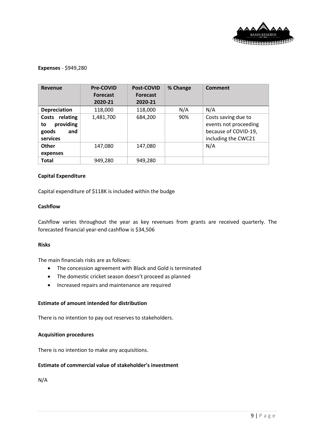

#### **Expenses** - \$949,280

| Revenue                                                       | Pre-COVID<br><b>Forecast</b><br>2020-21 | Post-COVID<br><b>Forecast</b><br>2020-21 | % Change | Comment                                                                                     |
|---------------------------------------------------------------|-----------------------------------------|------------------------------------------|----------|---------------------------------------------------------------------------------------------|
| <b>Depreciation</b>                                           | 118,000                                 | 118,000                                  | N/A      | N/A                                                                                         |
| Costs relating<br>providing<br>to<br>goods<br>and<br>services | 1,481,700                               | 684,200                                  | 90%      | Costs saving due to<br>events not proceeding<br>because of COVID-19,<br>including the CWC21 |
| Other<br>expenses                                             | 147,080                                 | 147,080                                  |          | N/A                                                                                         |
| <b>Total</b>                                                  | 949,280                                 | 949,280                                  |          |                                                                                             |

#### **Capital Expenditure**

Capital expenditure of \$118K is included within the budge

#### **Cashflow**

Cashflow varies throughout the year as key revenues from grants are received quarterly. The forecasted financial year-end cashflow is \$34,506

#### **Risks**

The main financials risks are as follows:

- The concession agreement with Black and Gold is terminated
- The domestic cricket season doesn't proceed as planned
- Increased repairs and maintenance are required

#### **Estimate of amount intended for distribution**

There is no intention to pay out reserves to stakeholders.

#### **Acquisition procedures**

There is no intention to make any acquisitions.

## **Estimate of commercial value of stakeholder's investment**

N/A